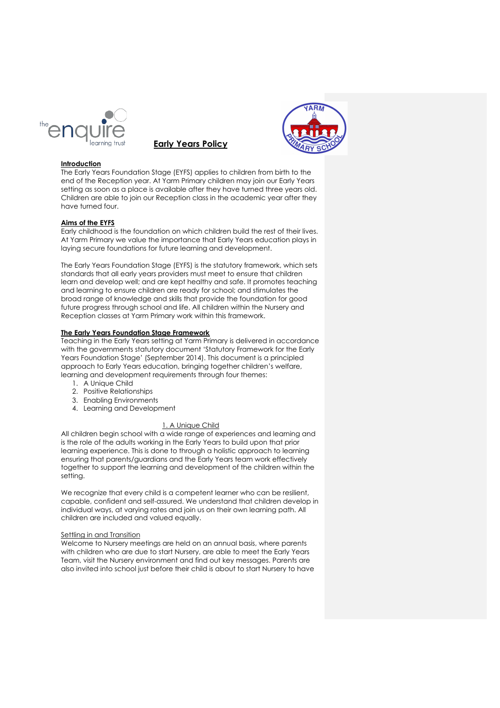





## **Introduction**

The Early Years Foundation Stage (EYFS) applies to children from birth to the end of the Reception year. At Yarm Primary children may join our Early Years setting as soon as a place is available after they have turned three years old. Children are able to join our Reception class in the academic year after they have turned four.

## **Aims of the EYFS**

Early childhood is the foundation on which children build the rest of their lives. At Yarm Primary we value the importance that Early Years education plays in laying secure foundations for future learning and development.

The Early Years Foundation Stage (EYFS) is the statutory framework, which sets standards that all early years providers must meet to ensure that children learn and develop well; and are kept healthy and safe. It promotes teaching and learning to ensure children are ready for school; and stimulates the broad range of knowledge and skills that provide the foundation for good future progress through school and life. All children within the Nursery and Reception classes at Yarm Primary work within this framework.

### **The Early Years Foundation Stage Framework**

Teaching in the Early Years setting at Yarm Primary is delivered in accordance with the governments statutory document 'Statutory Framework for the Early Years Foundation Stage' (September 2014). This document is a principled approach to Early Years education, bringing together children's welfare, learning and development requirements through four themes:

- 1. A Unique Child
- 2. Positive Relationships
- 3. Enabling Environments
- 4. Learning and Development

### 1. A Unique Child

All children begin school with a wide range of experiences and learning and is the role of the adults working in the Early Years to build upon that prior learning experience. This is done to through a holistic approach to learning ensuring that parents/guardians and the Early Years team work effectively together to support the learning and development of the children within the setting.

We recognize that every child is a competent learner who can be resilient, capable, confident and self-assured. We understand that children develop in individual ways, at varying rates and join us on their own learning path. All children are included and valued equally.

### Settling in and Transition

Welcome to Nursery meetings are held on an annual basis, where parents with children who are due to start Nursery, are able to meet the Early Years Team, visit the Nursery environment and find out key messages. Parents are also invited into school just before their child is about to start Nursery to have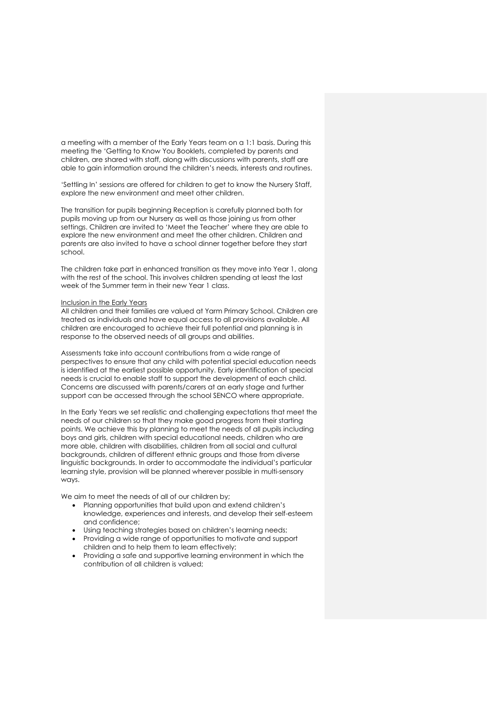a meeting with a member of the Early Years team on a 1:1 basis. During this meeting the 'Getting to Know You Booklets, completed by parents and children, are shared with staff, along with discussions with parents, staff are able to gain information around the children's needs, interests and routines.

'Settling In' sessions are offered for children to get to know the Nursery Staff, explore the new environment and meet other children.

The transition for pupils beginning Reception is carefully planned both for pupils moving up from our Nursery as well as those joining us from other settings. Children are invited to 'Meet the Teacher' where they are able to explore the new environment and meet the other children. Children and parents are also invited to have a school dinner together before they start school.

The children take part in enhanced transition as they move into Year 1, along with the rest of the school. This involves children spending at least the last week of the Summer term in their new Year 1 class.

### Inclusion in the Early Years

All children and their families are valued at Yarm Primary School. Children are treated as individuals and have equal access to all provisions available. All children are encouraged to achieve their full potential and planning is in response to the observed needs of all groups and abilities.

Assessments take into account contributions from a wide range of perspectives to ensure that any child with potential special education needs is identified at the earliest possible opportunity. Early identification of special needs is crucial to enable staff to support the development of each child. Concerns are discussed with parents/carers at an early stage and further support can be accessed through the school SENCO where appropriate.

In the Early Years we set realistic and challenging expectations that meet the needs of our children so that they make good progress from their starting points. We achieve this by planning to meet the needs of all pupils including boys and girls, children with special educational needs, children who are more able, children with disabilities, children from all social and cultural backgrounds, children of different ethnic groups and those from diverse linguistic backgrounds. In order to accommodate the individual's particular learning style, provision will be planned wherever possible in multi-sensory ways.

We aim to meet the needs of all of our children by;

- Planning opportunities that build upon and extend children's knowledge, experiences and interests, and develop their self-esteem and confidence;
- Using teaching strategies based on children's learning needs;
- Providing a wide range of opportunities to motivate and support children and to help them to learn effectively;
- Providing a safe and supportive learning environment in which the contribution of all children is valued;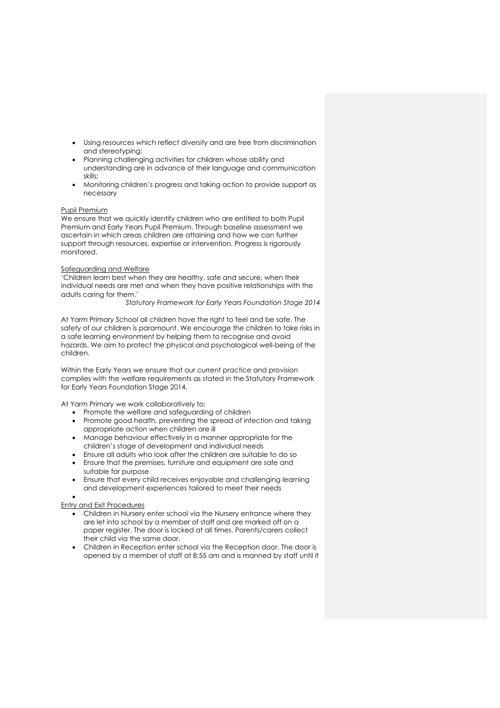- Using resources which reflect diversity and are free from discrimination and stereotyping;
- Planning challenging activities for children whose ability and understanding are in advance of their language and communication skills;
- Monitoring children's progress and taking action to provide support as necessary

### Pupil Premium

We ensure that we quickly identify children who are entitled to both Pupil Premium and Early Years Pupil Premium. Through baseline assessment we ascertain in which areas children are attaining and how we can further support through resources, expertise or intervention. Progress is rigorously monitored.

### Safeguarding and Welfare

'Children learn best when they are healthy, safe and secure, when their individual needs are met and when they have positive relationships with the adults caring for them.'

*Statutory Framework for Early Years Foundation Stage 2014*

At Yarm Primary School all children have the right to feel and be safe. The safety of our children is paramount. We encourage the children to take risks in a safe learning environment by helping them to recognise and avoid hazards. We aim to protect the physical and psychological well-being of the children.

Within the Early Years we ensure that our current practice and provision complies with the welfare requirements as stated in the Statutory Framework for Early Years Foundation Stage 2014.

At Yarm Primary we work collaboratively to:

- Promote the welfare and safeguarding of children
- Promote good health, preventing the spread of infection and taking appropriate action when children are ill
- Manage behaviour effectively in a manner appropriate for the children's stage of development and individual needs
- Ensure all adults who look after the children are suitable to do so
- Ensure that the premises, furniture and equipment are safe and suitable for purpose
- Ensure that every child receives enjoyable and challenging learning and development experiences tailored to meet their needs

## •

## Entry and Exit Procedures

- Children in Nursery enter school via the Nursery entrance where they are let into school by a member of staff and are marked off on a paper register. The door is locked at all times. Parents/carers collect their child via the same door.
- Children in Reception enter school via the Reception door. The door is opened by a member of staff at 8:55 am and is manned by staff until it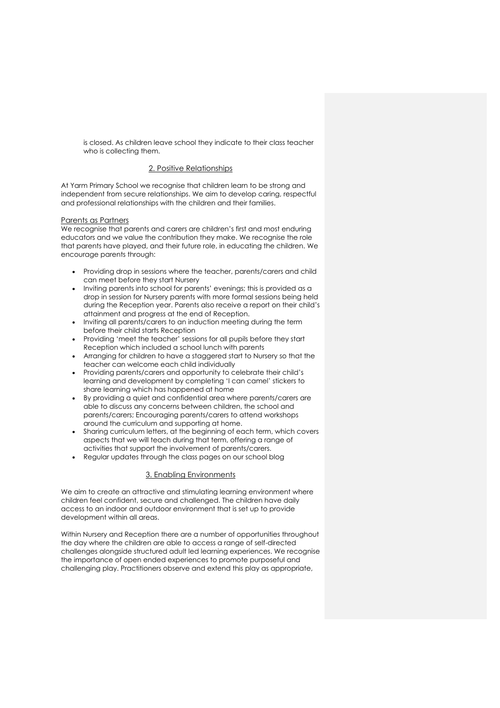is closed. As children leave school they indicate to their class teacher who is collecting them.

## 2. Positive Relationships

At Yarm Primary School we recognise that children learn to be strong and independent from secure relationships. We aim to develop caring, respectful and professional relationships with the children and their families.

### Parents as Partners

We recognise that parents and carers are children's first and most enduring educators and we value the contribution they make. We recognise the role that parents have played, and their future role, in educating the children. We encourage parents through:

- Providing drop in sessions where the teacher, parents/carers and child can meet before they start Nursery
- Inviting parents into school for parents' evenings; this is provided as a drop in session for Nursery parents with more formal sessions being held during the Reception year. Parents also receive a report on their child's attainment and progress at the end of Reception.
- Inviting all parents/carers to an induction meeting during the term before their child starts Reception
- Providing 'meet the teacher' sessions for all pupils before they start Reception which included a school lunch with parents
- Arranging for children to have a staggered start to Nursery so that the teacher can welcome each child individually
- Providing parents/carers and opportunity to celebrate their child's learning and development by completing 'I can camel' stickers to share learning which has happened at home
- By providing a quiet and confidential area where parents/carers are able to discuss any concerns between children, the school and parents/carers; Encouraging parents/carers to attend workshops around the curriculum and supporting at home.
- Sharing curriculum letters, at the beginning of each term, which covers aspects that we will teach during that term, offering a range of activities that support the involvement of parents/carers.
- Regular updates through the class pages on our school blog

# 3. Enabling Environments

We aim to create an attractive and stimulating learning environment where children feel confident, secure and challenged. The children have daily access to an indoor and outdoor environment that is set up to provide development within all areas.

Within Nursery and Reception there are a number of opportunities throughout the day where the children are able to access a range of self-directed challenges alongside structured adult led learning experiences. We recognise the importance of open ended experiences to promote purposeful and challenging play. Practitioners observe and extend this play as appropriate,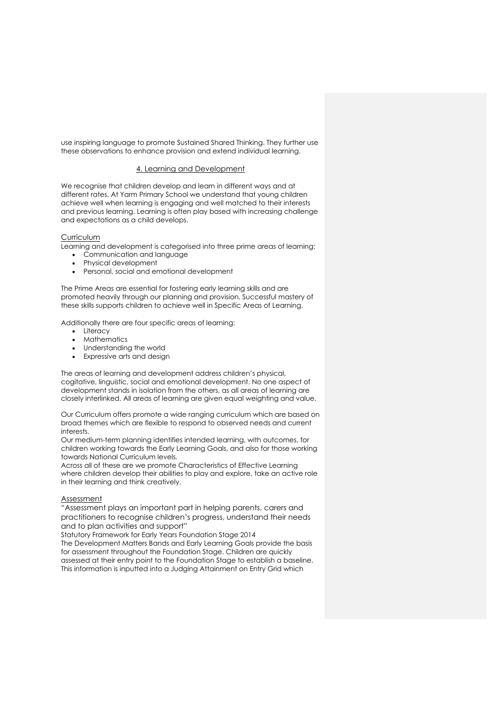use inspiring language to promote Sustained Shared Thinking. They further use these observations to enhance provision and extend individual learning.

# 4. Learning and Development

We recognise that children develop and learn in different ways and at different rates. At Yarm Primary School we understand that young children achieve well when learning is engaging and well matched to their interests and previous learning. Learning is often play based with increasing challenge and expectations as a child develops.

## Curriculum

Learning and development is categorised into three prime areas of learning:

- Communication and language
- Physical development
- Personal, social and emotional development

The Prime Areas are essential for fostering early learning skills and are promoted heavily through our planning and provision. Successful mastery of these skills supports children to achieve well in Specific Areas of Learning.

Additionally there are four specific areas of learning:

- Literacy
- **Mathematics**
- Understanding the world
- Expressive arts and design

The areas of learning and development address children's physical, cogitative, linguistic, social and emotional development. No one aspect of development stands in isolation from the others, as all areas of learning are closely interlinked. All areas of learning are given equal weighting and value.

Our Curriculum offers promote a wide ranging curriculum which are based on broad themes which are flexible to respond to observed needs and current interests.

Our medium-term planning identifies intended learning, with outcomes, for children working towards the Early Learning Goals, and also for those working towards National Curriculum levels.

Across all of these are we promote Characteristics of Effective Learning where children develop their abilities to play and explore, take an active role in their learning and think creatively.

# Assessment

"Assessment plays an important part in helping parents, carers and practitioners to recognise children's progress, understand their needs and to plan activities and support"

Statutory Framework for Early Years Foundation Stage 2014 The Development Matters Bands and Early Learning Goals provide the basis for assessment throughout the Foundation Stage. Children are quickly assessed at their entry point to the Foundation Stage to establish a baseline. This information is inputted into a Judging Attainment on Entry Grid which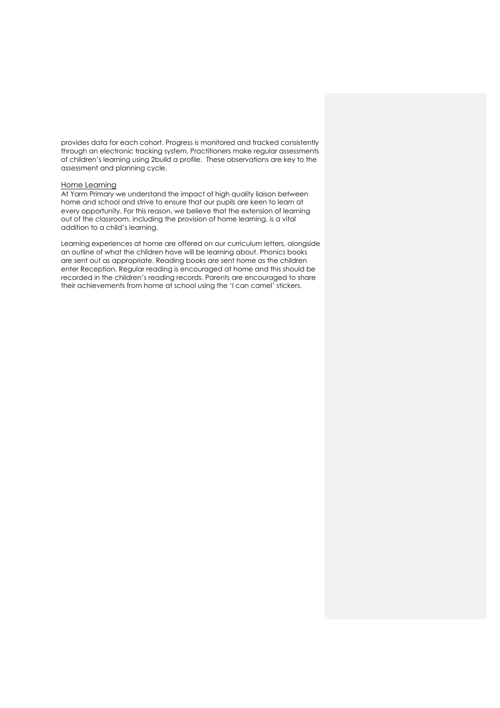provides data for each cohort. Progress is monitored and tracked consistently through an electronic tracking system. Practitioners make regular assessments of children's learning using 2build a profile. These observations are key to the assessment and planning cycle.

### Home Learning

At Yarm Primary we understand the impact of high quality liaison between home and school and strive to ensure that our pupils are keen to learn at every opportunity. For this reason, we believe that the extension of learning out of the classroom, including the provision of home learning, is a vital addition to a child's learning.

Learning experiences at home are offered on our curriculum letters, alongside an outline of what the children have will be learning about. Phonics books are sent out as appropriate. Reading books are sent home as the children enter Reception. Regular reading is encouraged at home and this should be recorded in the children's reading records. Parents are encouraged to share their achievements from home at school using the 'I can camel' stickers.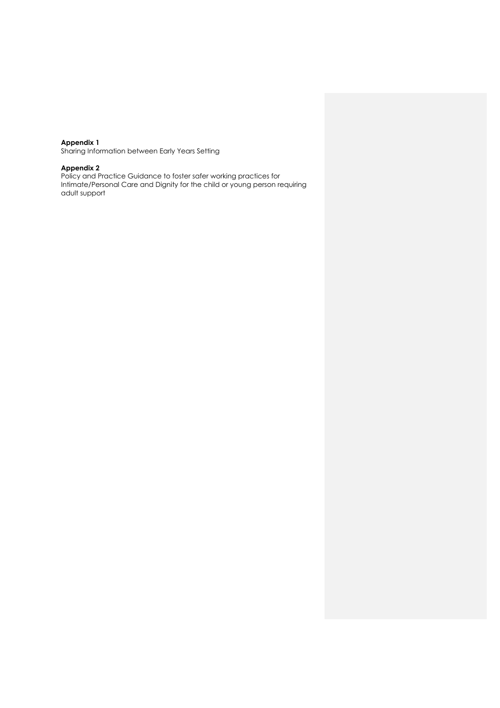#### **Appendix 1**

Sharing Information between Early Years Setting

#### **Appendix 2**

Policy and Practice Guidance to foster safer working practices for Intimate/Personal Care and Dignity for the child or young person requiring adult support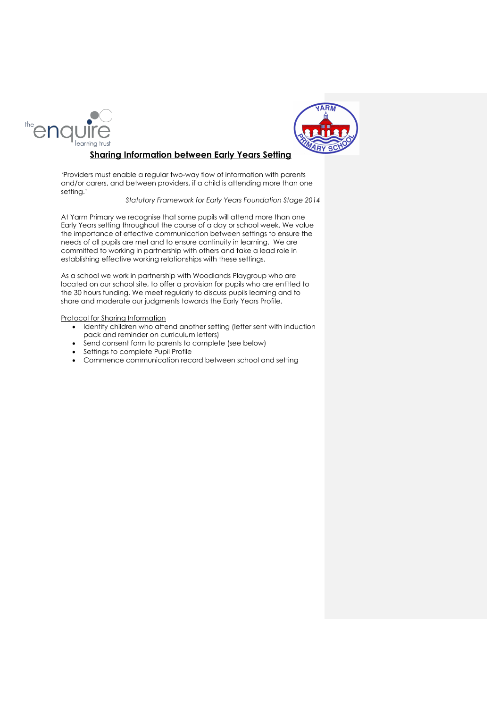



# **Sharing Information between Early Years Setting**

'Providers must enable a regular two-way flow of information with parents and/or carers, and between providers, if a child is attending more than one setting.'

## *Statutory Framework for Early Years Foundation Stage 2014*

At Yarm Primary we recognise that some pupils will attend more than one Early Years setting throughout the course of a day or school week. We value the importance of effective communication between settings to ensure the needs of all pupils are met and to ensure continuity in learning. We are committed to working in partnership with others and take a lead role in establishing effective working relationships with these settings.

As a school we work in partnership with Woodlands Playgroup who are located on our school site, to offer a provision for pupils who are entitled to the 30 hours funding. We meet regularly to discuss pupils learning and to share and moderate our judgments towards the Early Years Profile.

### Protocol for Sharing Information

- Identify children who attend another setting (letter sent with induction pack and reminder on curriculum letters)
- Send consent form to parents to complete (see below)
- Settings to complete Pupil Profile
- Commence communication record between school and setting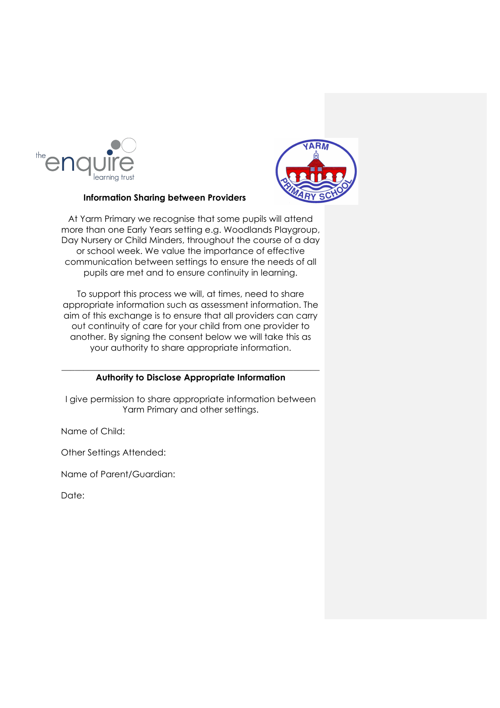



# **Information Sharing between Providers**

At Yarm Primary we recognise that some pupils will attend more than one Early Years setting e.g. Woodlands Playgroup, Day Nursery or Child Minders, throughout the course of a day or school week. We value the importance of effective communication between settings to ensure the needs of all pupils are met and to ensure continuity in learning.

To support this process we will, at times, need to share appropriate information such as assessment information. The aim of this exchange is to ensure that all providers can carry out continuity of care for your child from one provider to another. By signing the consent below we will take this as your authority to share appropriate information.

# $\_$  , and the set of the set of the set of the set of the set of the set of the set of the set of the set of the set of the set of the set of the set of the set of the set of the set of the set of the set of the set of th **Authority to Disclose Appropriate Information**

I give permission to share appropriate information between Yarm Primary and other settings.

Name of Child:

Other Settings Attended:

Name of Parent/Guardian:

Date: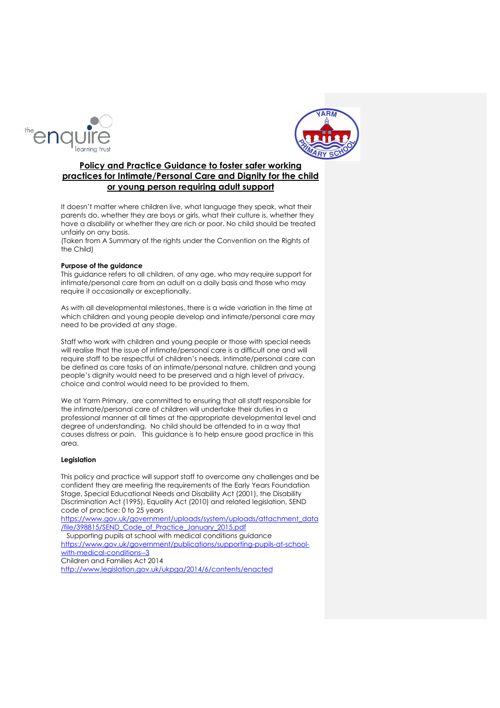



# **Policy and Practice Guidance to foster safer working practices for Intimate/Personal Care and Dignity for the child or young person requiring adult support**

It doesn't matter where children live, what language they speak, what their parents do, whether they are boys or girls, what their culture is, whether they have a disability or whether they are rich or poor. No child should be treated unfairly on any basis.

(Taken from A Summary of the rights under the Convention on the Rights of the Child)

### **Purpose of the guidance**

This guidance refers to all children, of any age, who may require support for intimate/personal care from an adult on a daily basis and those who may require it occasionally or exceptionally.

As with all developmental milestones, there is a wide variation in the time at which children and young people develop and intimate/personal care may need to be provided at any stage.

Staff who work with children and young people or those with special needs will realise that the issue of intimate/personal care is a difficult one and will require staff to be respectful of children's needs. Intimate/personal care can be defined as care tasks of an intimate/personal nature, children and young people's dignity would need to be preserved and a high level of privacy, choice and control would need to be provided to them.

We at Yarm Primary, are committed to ensuring that all staff responsible for the intimate/personal care of children will undertake their duties in a professional manner at all times at the appropriate developmental level and degree of understanding. No child should be attended to in a way that causes distress or pain. This guidance is to help ensure good practice in this area.

### **Legislation**

This policy and practice will support staff to overcome any challenges and be confident they are meeting the requirements of the Early Years Foundation Stage, Special Educational Needs and Disability Act (2001), the Disability Discrimination Act (1995), Equality Act (2010) and related legislation, SEND code of practice: 0 to 25 years

https://www.gov.uk/government/uploads/system/uploads/attachment\_data /file/398815/SEND\_Code\_of\_Practice\_January\_2015.pdf

 Supporting pupils at school with medical conditions guidance https://www.gov.uk/government/publications/supporting-pupils-at-schoolwith-medical-conditions--3 Children and Families Act 2014

http://www.legislation.gov.uk/ukpga/2014/6/contents/enacted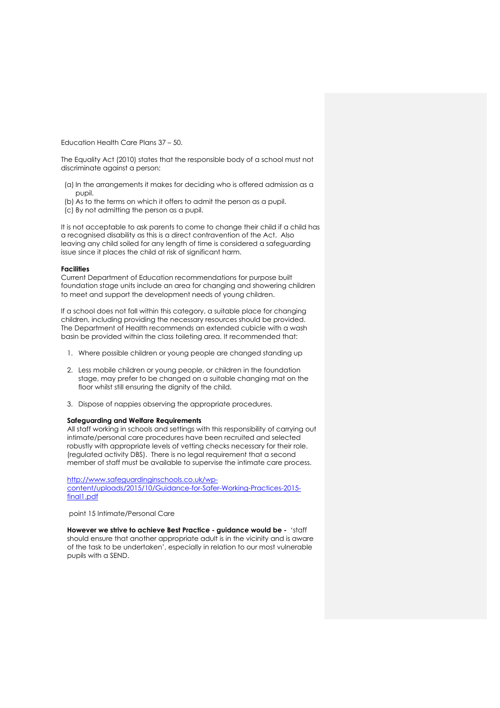Education Health Care Plans 37 – 50.

The Equality Act (2010) states that the responsible body of a school must not discriminate against a person:

- (a) In the arrangements it makes for deciding who is offered admission as a pupil.
- (b) As to the terms on which it offers to admit the person as a pupil.
- (c) By not admitting the person as a pupil.

It is not acceptable to ask parents to come to change their child if a child has a recognised disability as this is a direct contravention of the Act. Also leaving any child soiled for any length of time is considered a safeguarding issue since it places the child at risk of significant harm.

### **Facilities**

Current Department of Education recommendations for purpose built foundation stage units include an area for changing and showering children to meet and support the development needs of young children.

If a school does not fall within this category, a suitable place for changing children, including providing the necessary resources should be provided. The Department of Health recommends an extended cubicle with a wash basin be provided within the class toileting area. It recommended that:

- 1. Where possible children or young people are changed standing up
- 2. Less mobile children or young people, or children in the foundation stage, may prefer to be changed on a suitable changing mat on the floor whilst still ensuring the dignity of the child.
- 3. Dispose of nappies observing the appropriate procedures.

### **Safeguarding and Welfare Requirements**

All staff working in schools and settings with this responsibility of carrying out intimate/personal care procedures have been recruited and selected robustly with appropriate levels of vetting checks necessary for their role. (regulated activity DBS). There is no legal requirement that a second member of staff must be available to supervise the intimate care process.

http://www.safeguardinginschools.co.uk/wpcontent/uploads/2015/10/Guidance-for-Safer-Working-Practices-2015 final1.pdf

point 15 Intimate/Personal Care

**However we strive to achieve Best Practice - guidance would be -** 'staff should ensure that another appropriate adult is in the vicinity and is aware of the task to be undertaken', especially in relation to our most vulnerable pupils with a SEND.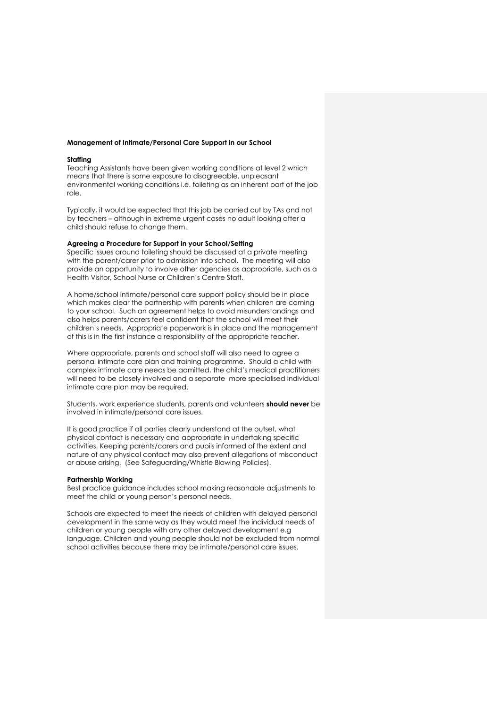### **Management of Intimate/Personal Care Support in our School**

### **Staffing**

Teaching Assistants have been given working conditions at level 2 which means that there is some exposure to disagreeable, unpleasant environmental working conditions i.e. toileting as an inherent part of the job role.

Typically, it would be expected that this job be carried out by TAs and not by teachers – although in extreme urgent cases no adult looking after a child should refuse to change them.

## **Agreeing a Procedure for Support in your School/Setting**

Specific issues around toileting should be discussed at a private meeting with the parent/carer prior to admission into school. The meeting will also provide an opportunity to involve other agencies as appropriate, such as a Health Visitor, School Nurse or Children's Centre Staff.

A home/school intimate/personal care support policy should be in place which makes clear the partnership with parents when children are coming to your school. Such an agreement helps to avoid misunderstandings and also helps parents/carers feel confident that the school will meet their children's needs. Appropriate paperwork is in place and the management of this is in the first instance a responsibility of the appropriate teacher.

Where appropriate, parents and school staff will also need to agree a personal intimate care plan and training programme. Should a child with complex intimate care needs be admitted, the child's medical practitioners will need to be closely involved and a separate more specialised individual intimate care plan may be required.

Students, work experience students, parents and volunteers **should never** be involved in intimate/personal care issues.

It is good practice if all parties clearly understand at the outset, what physical contact is necessary and appropriate in undertaking specific activities. Keeping parents/carers and pupils informed of the extent and nature of any physical contact may also prevent allegations of misconduct or abuse arising. (See Safeguarding/Whistle Blowing Policies).

### **Partnership Working**

Best practice guidance includes school making reasonable adjustments to meet the child or young person's personal needs.

Schools are expected to meet the needs of children with delayed personal development in the same way as they would meet the individual needs of children or young people with any other delayed development e.g language. Children and young people should not be excluded from normal school activities because there may be intimate/personal care issues.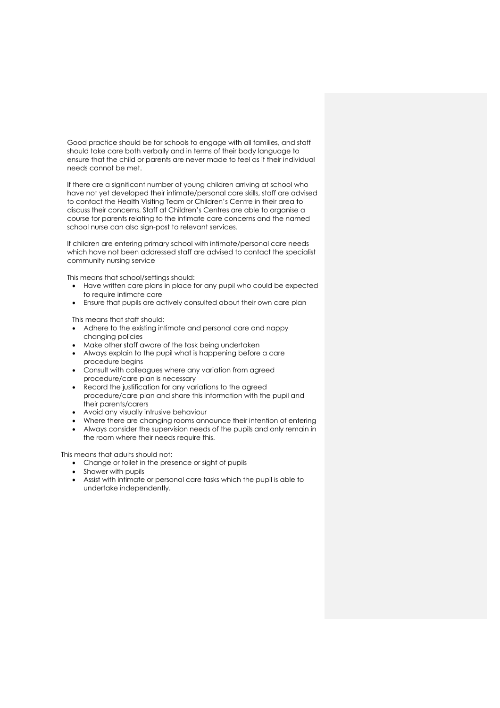Good practice should be for schools to engage with all families, and staff should take care both verbally and in terms of their body language to ensure that the child or parents are never made to feel as if their individual needs cannot be met.

If there are a significant number of young children arriving at school who have not yet developed their intimate/personal care skills, staff are advised to contact the Health Visiting Team or Children's Centre in their area to discuss their concerns. Staff at Children's Centres are able to organise a course for parents relating to the intimate care concerns and the named school nurse can also sign-post to relevant services.

If children are entering primary school with intimate/personal care needs which have not been addressed staff are advised to contact the specialist community nursing service

This means that school/settings should:

- Have written care plans in place for any pupil who could be expected to require intimate care
- Ensure that pupils are actively consulted about their own care plan

This means that staff should:

- Adhere to the existing intimate and personal care and nappy changing policies
- Make other staff aware of the task being undertaken
- Always explain to the pupil what is happening before a care procedure begins
- Consult with colleagues where any variation from agreed procedure/care plan is necessary
- Record the justification for any variations to the agreed procedure/care plan and share this information with the pupil and their parents/carers
- Avoid any visually intrusive behaviour
- Where there are changing rooms announce their intention of entering
- Always consider the supervision needs of the pupils and only remain in the room where their needs require this.

This means that adults should not:

- Change or toilet in the presence or sight of pupils
- Shower with pupils
- Assist with intimate or personal care tasks which the pupil is able to undertake independently.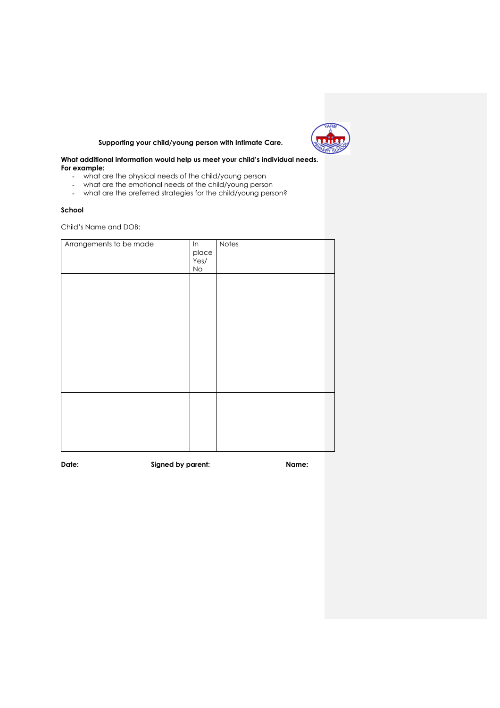

# **Supporting your child/young person with Intimate Care.**

## **What additional information would help us meet your child's individual needs. For example:**

- what are the physical needs of the child/young person
- what are the emotional needs of the child/young person
- what are the preferred strategies for the child/young person?

### **School**

Child's Name and DOB:

| Arrangements to be made | ln    | Notes |
|-------------------------|-------|-------|
|                         | place |       |
|                         | Yes/  |       |
|                         | No    |       |
|                         |       |       |
|                         |       |       |
|                         |       |       |
|                         |       |       |
|                         |       |       |
|                         |       |       |
|                         |       |       |
|                         |       |       |
|                         |       |       |
|                         |       |       |
|                         |       |       |
|                         |       |       |
|                         |       |       |
|                         |       |       |
|                         |       |       |
|                         |       |       |
|                         |       |       |
|                         |       |       |
|                         |       |       |
|                         |       |       |
|                         |       |       |
|                         |       |       |
|                         |       |       |

**Date: Signed by parent: Name:**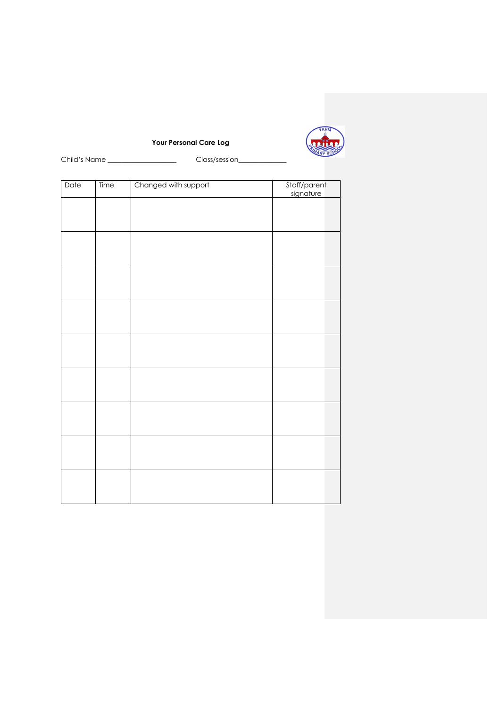

**Your Personal Care Log**

Child's Name \_\_\_\_\_\_\_\_\_\_\_\_\_\_\_\_\_\_\_\_\_\_\_\_\_\_\_\_\_\_\_\_Class/session\_

| Date | Time | Changed with support | Staff/parent<br>signature |  |
|------|------|----------------------|---------------------------|--|
|      |      |                      |                           |  |
|      |      |                      |                           |  |
|      |      |                      |                           |  |
|      |      |                      |                           |  |
|      |      |                      |                           |  |
|      |      |                      |                           |  |
|      |      |                      |                           |  |
|      |      |                      |                           |  |
|      |      |                      |                           |  |
|      |      |                      |                           |  |
|      |      |                      |                           |  |
|      |      |                      |                           |  |
|      |      |                      |                           |  |
|      |      |                      |                           |  |
|      |      |                      |                           |  |
|      |      |                      |                           |  |
|      |      |                      |                           |  |
|      |      |                      |                           |  |
|      |      |                      |                           |  |
|      |      |                      |                           |  |
|      |      |                      |                           |  |
|      |      |                      |                           |  |
|      |      |                      |                           |  |
|      |      |                      |                           |  |
|      |      |                      |                           |  |
|      |      |                      |                           |  |
|      |      |                      |                           |  |
|      |      |                      |                           |  |
|      |      |                      |                           |  |
|      |      |                      |                           |  |
|      |      |                      |                           |  |
|      |      |                      |                           |  |
|      |      |                      |                           |  |
|      |      |                      |                           |  |
|      |      |                      |                           |  |
|      |      |                      |                           |  |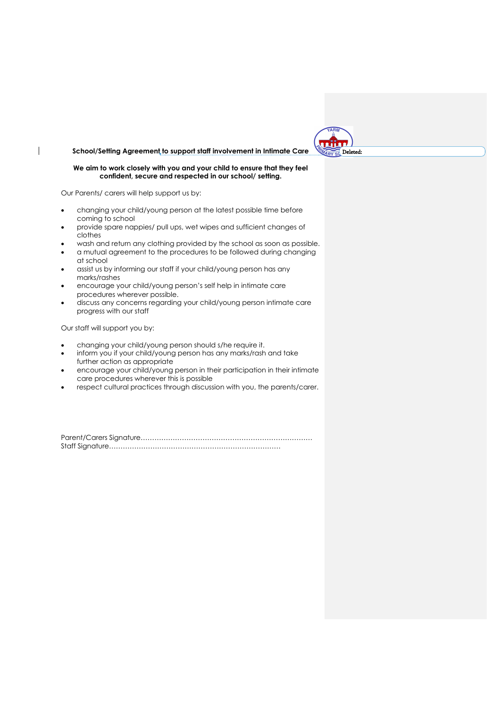## **School/Setting Agreement to support staff involvement in Intimate Care**

## **We aim to work closely with you and your child to ensure that they feel confident, secure and respected in our school/ setting.**

Our Parents/ carers will help support us by:

 $\overline{\phantom{a}}$ 

- changing your child/young person at the latest possible time before coming to school
- provide spare nappies/ pull ups, wet wipes and sufficient changes of clothes
- wash and return any clothing provided by the school as soon as possible.
- a mutual agreement to the procedures to be followed during changing at school
- assist us by informing our staff if your child/young person has any marks/rashes
- encourage your child/young person's self help in intimate care procedures wherever possible.
- discuss any concerns regarding your child/young person intimate care progress with our staff

Our staff will support you by:

- changing your child/young person should s/he require it.
- inform you if your child/young person has any marks/rash and take further action as appropriate
- encourage your child/young person in their participation in their intimate care procedures wherever this is possible
- respect cultural practices through discussion with you, the parents/carer.

Parent/Carers Signature………………………………………………………………… Staff Signature…………………………………………………………………

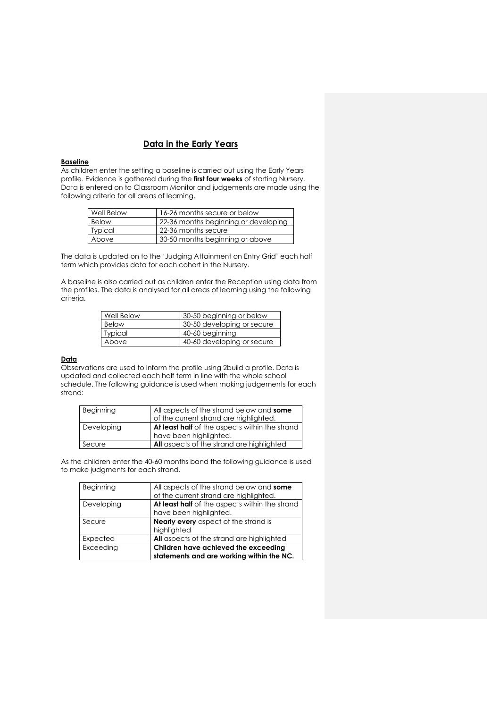# **Data in the Early Years**

## **Baseline**

As children enter the setting a baseline is carried out using the Early Years profile. Evidence is gathered during the **first four weeks** of starting Nursery. Data is entered on to Classroom Monitor and judgements are made using the following criteria for all areas of learning.

| Well Below     | 16-26 months secure or below         |
|----------------|--------------------------------------|
| Below          | 22-36 months beginning or developing |
| <b>Typical</b> | 22-36 months secure                  |
| Above          | 30-50 months beginning or above      |

The data is updated on to the 'Judging Attainment on Entry Grid' each half term which provides data for each cohort in the Nursery.

A baseline is also carried out as children enter the Reception using data from the profiles. The data is analysed for all areas of learning using the following criteria.

| Well Below     | 30-50 beginning or below   |
|----------------|----------------------------|
| <b>Below</b>   | 30-50 developing or secure |
| <b>Typical</b> | 40-60 beginning            |
| Above          | 40-60 developing or secure |

### **Data**

Observations are used to inform the profile using 2build a profile. Data is updated and collected each half term in line with the whole school schedule. The following guidance is used when making judgements for each strand:

| Beginning  | All aspects of the strand below and some<br>of the current strand are highlighted. |
|------------|------------------------------------------------------------------------------------|
| Developing | At least half of the aspects within the strand                                     |
|            | have been highlighted.                                                             |
| Secure     | <b>All</b> aspects of the strand are highlighted                                   |

As the children enter the 40-60 months band the following guidance is used to make judgments for each strand.

| Beginning  | All aspects of the strand below and some         |
|------------|--------------------------------------------------|
|            | of the current strand are highlighted.           |
| Developing | At least half of the aspects within the strand   |
|            | have been highlighted.                           |
| Secure     | <b>Nearly every</b> aspect of the strand is      |
|            | highlighted                                      |
| Expected   | <b>All</b> aspects of the strand are highlighted |
| Exceeding  | Children have achieved the exceeding             |
|            | statements and are working within the NC.        |